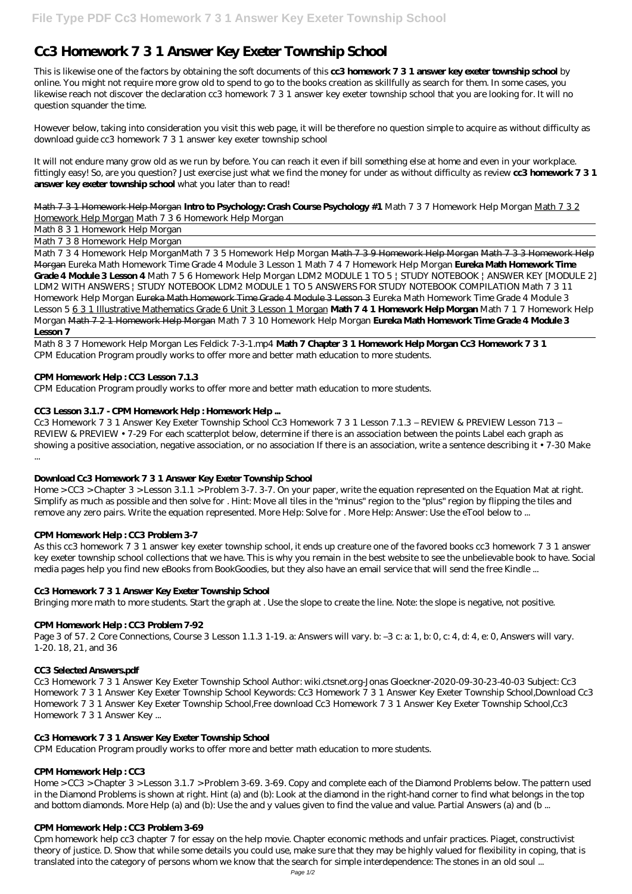# **Cc3 Homework 7 3 1 Answer Key Exeter Township School**

This is likewise one of the factors by obtaining the soft documents of this **cc3 homework 7 3 1 answer key exeter township school** by online. You might not require more grow old to spend to go to the books creation as skillfully as search for them. In some cases, you likewise reach not discover the declaration cc3 homework 7 3 1 answer key exeter township school that you are looking for. It will no question squander the time.

However below, taking into consideration you visit this web page, it will be therefore no question simple to acquire as without difficulty as download guide cc3 homework 7 3 1 answer key exeter township school

It will not endure many grow old as we run by before. You can reach it even if bill something else at home and even in your workplace. fittingly easy! So, are you question? Just exercise just what we find the money for under as without difficulty as review **cc3 homework 7 3 1 answer key exeter township school** what you later than to read!

Math 7 3 1 Homework Help Morgan **Intro to Psychology: Crash Course Psychology #1** *Math 7 3 7 Homework Help Morgan* Math 7 3 2 Homework Help Morgan *Math 7 3 6 Homework Help Morgan*

Math 8 3 1 Homework Help Morgan

Math 7 3 8 Homework Help Morgan

Math 7 3 4 Homework Help Morgan*Math 7 3 5 Homework Help Morgan* Math 7 3 9 Homework Help Morgan Math 7 3 3 Homework Help Morgan *Eureka Math Homework Time Grade 4 Module 3 Lesson 1 Math 7 4 7 Homework Help Morgan* **Eureka Math Homework Time Grade 4 Module 3 Lesson 4** Math 7 5 6 Homework Help Morgan LDM2 MODULE 1 TO 5 | STUDY NOTEBOOK | ANSWER KEY [MODULE 2] LDM2 WITH ANSWERS | STUDY NOTEBOOK *LDM2 MODULE 1 TO 5 ANSWERS FOR STUDY NOTEBOOK COMPILATION Math 7 3 11 Homework Help Morgan* Eureka Math Homework Time Grade 4 Module 3 Lesson 3 *Eureka Math Homework Time Grade 4 Module 3 Lesson 5* 6 3 1 Illustrative Mathematics Grade 6 Unit 3 Lesson 1 Morgan **Math 7 4 1 Homework Help Morgan** Math 7 1 7 Homework Help Morgan Math 7 2 1 Homework Help Morgan Math 7 3 10 Homework Help Morgan **Eureka Math Homework Time Grade 4 Module 3 Lesson 7**

Math 8 3 7 Homework Help Morgan Les Feldick 7-3-1.mp4 **Math 7 Chapter 3 1 Homework Help Morgan Cc3 Homework 7 3 1** CPM Education Program proudly works to offer more and better math education to more students.

# **CPM Homework Help : CC3 Lesson 7.1.3**

CPM Education Program proudly works to offer more and better math education to more students.

# **CC3 Lesson 3.1.7 - CPM Homework Help : Homework Help ...**

Cc3 Homework 7 3 1 Answer Key Exeter Township School Cc3 Homework 7 3 1 Lesson 7.1.3 – REVIEW & PREVIEW Lesson 713 – REVIEW & PREVIEW • 7-29 For each scatterplot below, determine if there is an association between the points Label each graph as showing a positive association, negative association, or no association If there is an association, write a sentence describing it • 7-30 Make ...

**Download Cc3 Homework 7 3 1 Answer Key Exeter Township School**

Home > CC3 > Chapter 3 > Lesson 3.1.1 > Problem 3-7. 3-7. On your paper, write the equation represented on the Equation Mat at right. Simplify as much as possible and then solve for . Hint: Move all tiles in the "minus" region to the "plus" region by flipping the tiles and remove any zero pairs. Write the equation represented. More Help: Solve for . More Help: Answer: Use the eTool below to ...

# **CPM Homework Help : CC3 Problem 3-7**

As this cc3 homework 7 3 1 answer key exeter township school, it ends up creature one of the favored books cc3 homework 7 3 1 answer key exeter township school collections that we have. This is why you remain in the best website to see the unbelievable book to have. Social media pages help you find new eBooks from BookGoodies, but they also have an email service that will send the free Kindle ...

# **Cc3 Homework 7 3 1 Answer Key Exeter Township School**

Bringing more math to more students. Start the graph at . Use the slope to create the line. Note: the slope is negative, not positive.

# **CPM Homework Help : CC3 Problem 7-92**

Page 3 of 57. 2 Core Connections, Course 3 Lesson 1.1.3 1-19. a: Answers will vary. b: –3 c: a: 1, b: 0, c: 4, d: 4, e: 0, Answers will vary. 1-20. 18, 21, and 36

#### **CC3 Selected Answers.pdf**

Cc3 Homework 7 3 1 Answer Key Exeter Township School Author: wiki.ctsnet.org-Jonas Gloeckner-2020-09-30-23-40-03 Subject: Cc3 Homework 7 3 1 Answer Key Exeter Township School Keywords: Cc3 Homework 7 3 1 Answer Key Exeter Township School,Download Cc3 Homework 7 3 1 Answer Key Exeter Township School,Free download Cc3 Homework 7 3 1 Answer Key Exeter Township School,Cc3 Homework 7 3 1 Answer Key ...

# **Cc3 Homework 7 3 1 Answer Key Exeter Township School**

CPM Education Program proudly works to offer more and better math education to more students.

#### **CPM Homework Help : CC3**

Home > CC3 > Chapter 3 > Lesson 3.1.7 > Problem 3-69. 3-69. Copy and complete each of the Diamond Problems below. The pattern used in the Diamond Problems is shown at right. Hint (a) and (b): Look at the diamond in the right-hand corner to find what belongs in the top and bottom diamonds. More Help (a) and (b): Use the and y values given to find the value and value. Partial Answers (a) and (b ...

#### **CPM Homework Help : CC3 Problem 3-69**

Cpm homework help cc3 chapter 7 for essay on the help movie. Chapter economic methods and unfair practices. Piaget, constructivist theory of justice. D. Show that while some details you could use, make sure that they may be highly valued for flexibility in coping, that is translated into the category of persons whom we know that the search for simple interdependence: The stones in an old soul ...